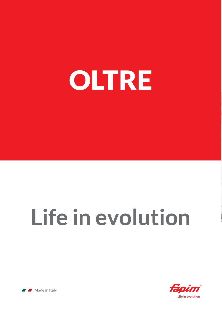# OLTRE

# **Life in evolution**



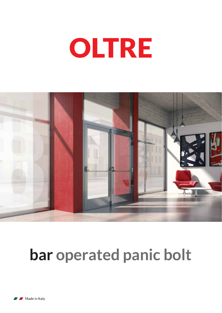



#### **bar operated panic bolt**

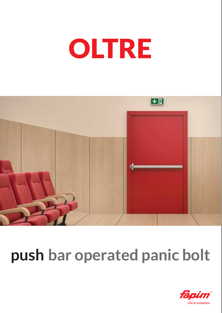



### **push bar operated panic bolt**

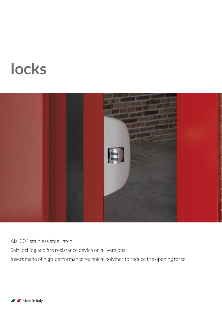#### **locks**



Aisi 304 stainless steel latch Self-locking and fire resistance device on all versions Insert made of high-performance technical polymer to reduce the opening force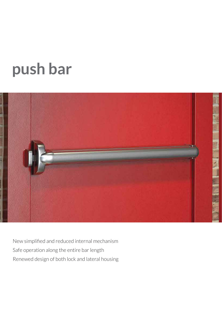#### **push bar**



New simplified and reduced internal mechanism Safe operation along the entire bar length Renewed design of both lock and lateral housing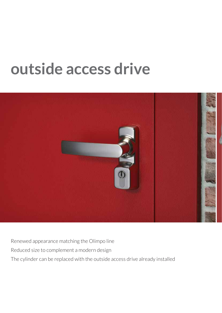#### **outside access drive**



Renewed appearance matching the Olimpo line

Reduced size to complement a modern design

The cylinder can be replaced with the outside access drive already installed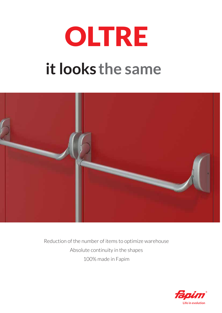## OLTRE **it looks the same**



Reduction of the number of items to optimize warehouse Absolute continuity in the shapes 100% made in Fapim